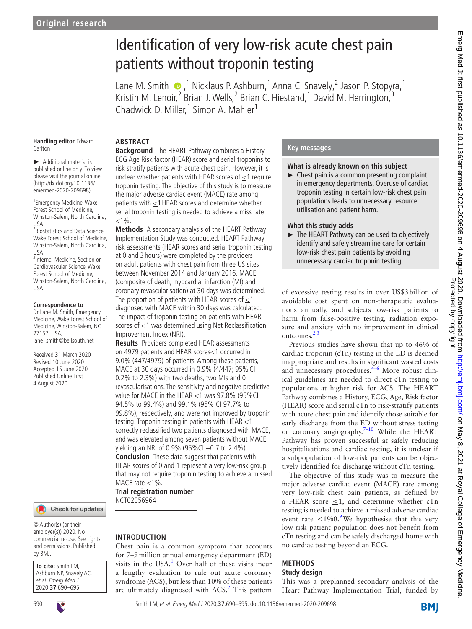# Identification of very low-risk acute chest pain patients without troponin testing

LaneM. Smith  $\bullet$  ,<sup>1</sup> Nicklaus P. Ashburn,<sup>1</sup> Anna C. Snavely,<sup>2</sup> Jason P. Stopyra,<sup>1</sup> Kristin M. Lenoir,<sup>2</sup> Brian J. Wells,<sup>2</sup> Brian C. Hiestand,<sup>1</sup> David M. Herrington,<sup>3</sup> Chadwick D. Miller,<sup>1</sup> Simon A. Mahler<sup>1</sup>

#### **Handling editor** Edward Carlton

► Additional material is published online only. To view please visit the journal online (http://dx.doi.org/10.1136/ emermed-2020-209698).

1 Emergency Medicine, Wake Forest School of Medicine, Winston-Salem, North Carolina, USA

2 Biostatistics and Data Science, Wake Forest School of Medicine, Winston-Salem, North Carolina, USA

3 Internal Medicine, Section on Cardiovascular Science, Wake Forest School of Medicine, Winston-Salem, North Carolina, USA

#### **Correspondence to**

Dr Lane M. Smith, Emergency Medicine, Wake Forest School of Medicine, Winston-Salem, NC 27157, USA; lane\_smith@bellsouth.net

Received 31 March 2020 Revised 10 June 2020 Accepted 15 June 2020 Published Online First 4 August 2020

#### Check for updates

© Author(s) (or their employer(s)) 2020. No commercial re-use. See rights and permissions. Published by BMJ.

#### **To cite:** Smith LM, Ashburn NP, Snavely AC, et al. Emerg Med J 2020;**37**:690–695.

### **ABSTRACT**

**Background** The HEART Pathway combines a History ECG Age Risk factor (HEAR) score and serial troponins to risk stratify patients with acute chest pain. However, it is unclear whether patients with HEAR scores of  $\leq$ 1 require troponin testing. The objective of this study is to measure the major adverse cardiac event (MACE) rate among patients with <1HEAR scores and determine whether serial troponin testing is needed to achieve a miss rate  $< 1\%$ .

**Methods** A secondary analysis of the HEART Pathway Implementation Study was conducted. HEART Pathway risk assessments (HEAR scores and serial troponin testing at 0 and 3 hours) were completed by the providers on adult patients with chest pain from three US sites between November 2014 and January 2016. MACE (composite of death, myocardial infarction (MI) and coronary revascularisation) at 30 days was determined. The proportion of patients with HEAR scores of  $\leq$ 1 diagnosed with MACE within 30 days was calculated. The impact of troponin testing on patients with HEAR scores of  $\leq$ 1 was determined using Net Reclassification Improvement Index (NRI).

**Results** Providers completed HEAR assessments on 4979 patients and HEAR scores<1 occurred in 9.0% (447/4979) of patients. Among these patients, MACE at 30 days occurred in 0.9% (4/447; 95%CI 0.2% to 2.3%) with two deaths, two MIs and 0 revascularisations. The sensitivity and negative predictive value for MACE in the HEAR  $\leq$ 1 was 97.8% (95%CI 94.5% to 99.4%) and 99.1% (95% CI 97.7% to 99.8%), respectively, and were not improved by troponin testing. Troponin testing in patients with HEAR  $\leq$ 1 correctly reclassified two patients diagnosed with MACE, and was elevated among seven patients without MACE yielding an NRI of 0.9% (95%CI −0.7 to 2.4%). **Conclusion** These data suggest that patients with HEAR scores of 0 and 1 represent a very low-risk group that may not require troponin testing to achieve a missed MACE rate <1%.

**Trial registration number** NCT02056964

#### **INTRODUCTION**

Chest pain is a common symptom that accounts for 7–9million annual emergency department (ED) visits in the USA. $1$  Over half of these visits incur a lengthy evaluation to rule out acute coronary syndrome (ACS), but less than 10% of these patients are ultimately diagnosed with  $ACS<sup>2</sup>$ . This pattern

#### **Key messages**

#### **What is already known on this subject**

 $\blacktriangleright$  Chest pain is a common presenting complaint in emergency departments. Overuse of cardiac troponin testing in certain low-risk chest pain populations leads to unnecessary resource utilisation and patient harm.

#### **What this study adds**

The HEART Pathway can be used to objectively identify and safely streamline care for certain low-risk chest pain patients by avoiding unnecessary cardiac troponin testing.

of excessive testing results in over US\$3billion of avoidable cost spent on non-therapeutic evaluations annually, and subjects low-risk patients to harm from false-positive testing, radiation exposure and anxiety with no improvement in clinical outcomes.<sup>23</sup>

Previous studies have shown that up to 46% of cardiac troponin (cTn) testing in the ED is deemed inappropriate and results in significant wasted costs and unnecessary procedures.<sup>4–6</sup> More robust clinical guidelines are needed to direct cTn testing to populations at higher risk for ACS. The HEART Pathway combines a History, ECG, Age, Risk factor (HEAR) score and serial cTn to risk-stratify patients with acute chest pain and identify those suitable for early discharge from the ED without stress testing or coronary angiography.<sup>7-10</sup> While the HEART Pathway has proven successful at safely reducing hospitalisations and cardiac testing, it is unclear if a subpopulation of low-risk patients can be objectively identified for discharge without cTn testing.

The objective of this study was to measure the major adverse cardiac event (MACE) rate among very low-risk chest pain patients, as defined by a HEAR score  $\leq 1$ , and determine whether cTn testing is needed to achieve a missed adverse cardiac event rate  $\langle 1\%0.^9$  $\langle 1\%0.^9$  We hypothesise that this very low-risk patient population does not benefit from cTn testing and can be safely discharged home with no cardiac testing beyond an ECG.

#### **METHODS**

#### **Study design**

This was a preplanned secondary analysis of the Heart Pathway Implementation Trial, funded by

690 Smith LM, et al. Emerg Med J 2020;**37**:690–695. doi:10.1136/emermed-2020-209698

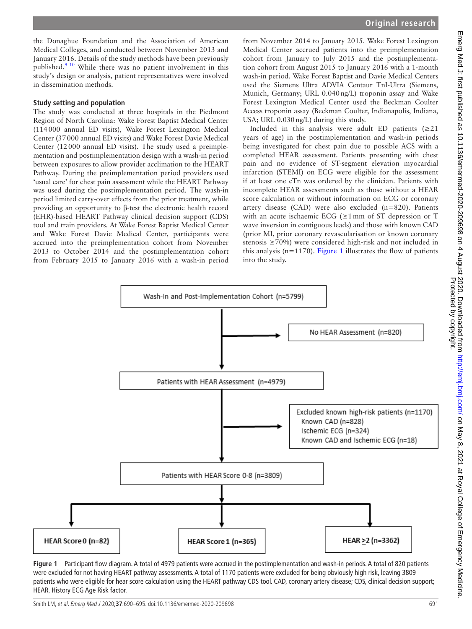the Donaghue Foundation and the Association of American Medical Colleges, and conducted between November 2013 and January 2016. Details of the study methods have been previously published.<sup>[9 10](#page-5-4)</sup> While there was no patient involvement in this study's design or analysis, patient representatives were involved in dissemination methods.

#### **Study setting and population**

The study was conducted at three hospitals in the Piedmont Region of North Carolina: Wake Forest Baptist Medical Center (114000 annual ED visits), Wake Forest Lexington Medical Center (37000 annual ED visits) and Wake Forest Davie Medical Center (12000 annual ED visits). The study used a preimplementation and postimplementation design with a wash-in period between exposures to allow provider acclimation to the HEART Pathway. During the preimplementation period providers used 'usual care' for chest pain assessment while the HEART Pathway was used during the postimplementation period. The wash-in period limited carry-over effects from the prior treatment, while providing an opportunity to β-test the electronic health record (EHR)-based HEART Pathway clinical decision support (CDS) tool and train providers. At Wake Forest Baptist Medical Center and Wake Forest Davie Medical Center, participants were accrued into the preimplementation cohort from November 2013 to October 2014 and the postimplementation cohort from February 2015 to January 2016 with a wash-in period

from November 2014 to January 2015. Wake Forest Lexington Medical Center accrued patients into the preimplementation cohort from January to July 2015 and the postimplementation cohort from August 2015 to January 2016 with a 1-month wash-in period. Wake Forest Baptist and Davie Medical Centers used the Siemens Ultra ADVIA Centaur TnI-Ultra (Siemens, Munich, Germany; URL 0.040ng/L) troponin assay and Wake Forest Lexington Medical Center used the Beckman Coulter Access troponin assay (Beckman Coulter, Indianapolis, Indiana, USA; URL 0.030ng/L) during this study.

Included in this analysis were adult ED patients  $(≥21$ years of age) in the postimplementation and wash-in periods being investigated for chest pain due to possible ACS with a completed HEAR assessment. Patients presenting with chest pain and no evidence of ST-segment elevation myocardial infarction (STEMI) on ECG were eligible for the assessment if at least one cTn was ordered by the clinician. Patients with incomplete HEAR assessments such as those without a HEAR score calculation or without information on ECG or coronary artery disease (CAD) were also excluded (n=820). Patients with an acute ischaemic ECG ( $\geq 1$  mm of ST depression or T wave inversion in contiguous leads) and those with known CAD (prior MI, prior coronary revascularisation or known coronary stenosis ≥70%) were considered high-risk and not included in this analysis ( $n=1170$ ). [Figure](#page-1-0) 1 illustrates the flow of patients into the study.



<span id="page-1-0"></span>**Figure 1** Participant flow diagram. A total of 4979 patients were accrued in the postimplementation and wash-in periods. A total of 820 patients were excluded for not having HEART pathway assessments. A total of 1170 patients were excluded for being obviously high risk, leaving 3809 patients who were eligible for hear score calculation using the HEART pathway CDS tool. CAD, coronary artery disease; CDS, clinical decision support; HEAR, History ECG Age Risk factor.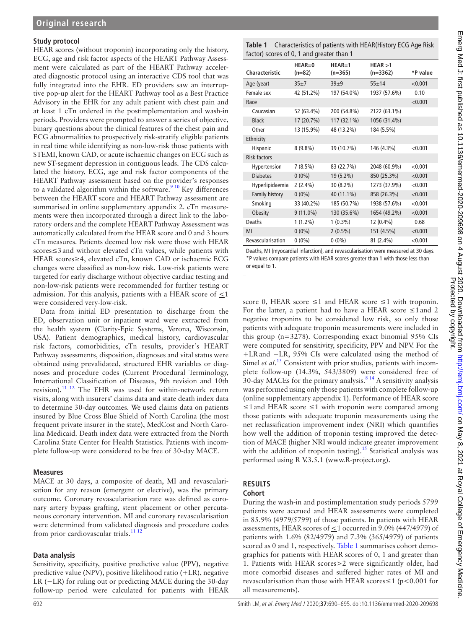#### **Study protocol**

HEAR scores (without troponin) incorporating only the history, ECG, age and risk factor aspects of the HEART Pathway Assessment were calculated as part of the HEART Pathway accelerated diagnostic protocol using an interactive CDS tool that was fully integrated into the EHR. ED providers saw an interruptive pop-up alert for the HEART Pathway tool as a Best Practice Advisory in the EHR for any adult patient with chest pain and at least 1 cTn ordered in the postimplementation and wash-in periods. Providers were prompted to answer a series of objective, binary questions about the clinical features of the chest pain and ECG abnormalities to prospectively risk-stratify eligible patients in real time while identifying as non-low-risk those patients with STEMI, known CAD, or acute ischaemic changes on ECG such as new ST-segment depression in contiguous leads. The CDS calculated the history, ECG, age and risk factor components of the HEART Pathway assessment based on the provider's responses to a validated algorithm within the software.<sup>9 10</sup> Key differences between the HEART score and HEART Pathway assessment are summarised in [online supplementary appendix 2.](https://dx.doi.org/10.1136/emermed-2020-209698) cTn measurements were then incorporated through a direct link to the laboratory orders and the complete HEART Pathway Assessment was automatically calculated from the HEAR score and 0 and 3hours cTn measures. Patients deemed low risk were those with HEAR scores≤3and without elevated cTn values, while patients with HEAR scores≥4, elevated cTn, known CAD or ischaemic ECG changes were classified as non-low risk. Low-risk patients were targeted for early discharge without objective cardiac testing and non-low-risk patients were recommended for further testing or admission. For this analysis, patients with a HEAR score of  $\leq$ 1 were considered very-low-risk.

Data from initial ED presentation to discharge from the ED, observation unit or inpatient ward were extracted from the health system (Clarity-Epic Systems, Verona, Wisconsin, USA). Patient demographics, medical history, cardiovascular risk factors, comorbidities, cTn results, provider's HEART Pathway assessments, disposition, diagnoses and vital status were obtained using prevalidated, structured EHR variables or diagnoses and procedure codes (Current Procedural Terminology, International Classification of Diseases, 9th revision and 10th revision).<sup>[11 12](#page-5-5)</sup> The EHR was used for within-network return visits, along with insurers' claims data and state death index data to determine 30-day outcomes. We used claims data on patients insured by Blue Cross Blue Shield of North Carolina (the most frequent private insurer in the state), MedCost and North Carolina Medicaid. Death index data were extracted from the North Carolina State Center for Health Statistics. Patients with incomplete follow-up were considered to be free of 30-day MACE.

#### **Measures**

MACE at 30 days, a composite of death, MI and revascularisation for any reason (emergent or elective), was the primary outcome. Coronary revascularisation rate was defined as coronary artery bypass grafting, stent placement or other percutaneous coronary intervention. MI and coronary revascularisation were determined from validated diagnosis and procedure codes from prior cardiovascular trials.<sup>[11 12](#page-5-5)</sup>

#### **Data analysis**

Sensitivity, specificity, positive predictive value (PPV), negative predictive value (NPV), positive likelihood ratio (+LR), negative LR (−LR) for ruling out or predicting MACE during the 30-day follow-up period were calculated for patients with HEAR

<span id="page-2-0"></span>**Table 1** Characteristics of patients with HEAR(History ECG Age Risk factor) scores of 0, 1 and greater than 1

| <b>Characteristic</b> | $HEAR=0$<br>$(n=82)$ | $HEAR = 1$<br>$(n=365)$ | HEAR > 1<br>$(n=3362)$ | *P value |
|-----------------------|----------------------|-------------------------|------------------------|----------|
| Age (year)            | $35\pm7$             | $39\pm9$                | $55 + 14$              | < 0.001  |
| Female sex            | 42 (51.2%)           | 197 (54.0%)             | 1937 (57.6%)           | 0.10     |
| Race                  |                      |                         |                        | < 0.001  |
| Caucasian             | 52 (63.4%)           | 200 (54.8%)             | 2122 (63.1%)           |          |
| <b>Black</b>          | 17 (20.7%)           | $117(32.1\%)$           | 1056 (31.4%)           |          |
| Other                 | 13 (15.9%)           | 48 (13.2%)              | 184 (5.5%)             |          |
| Ethnicity             |                      |                         |                        |          |
| Hispanic              | $8(9.8\%)$           | 39 (10.7%)              | 146 (4.3%)             | < 0.001  |
| <b>Risk factors</b>   |                      |                         |                        |          |
| Hypertension          | $7(8.5\%)$           | 83 (22.7%)              | 2048 (60.9%)           | < 0.001  |
| <b>Diabetes</b>       | $0(0\%)$             | 19 (5.2%)               | 850 (25.3%)            | < 0.001  |
| Hyperlipidaemia       | $2(2.4\%)$           | 30 (8.2%)               | 1273 (37.9%)           | < 0.001  |
| Family history        | $0(0\%)$             | 40 (11.1%)              | 858 (26.3%)            | < 0.001  |
| Smoking               | 33 (40.2%)           | 185 (50.7%)             | 1938 (57.6%)           | < 0.001  |
| Obesity               | $9(11.0\%)$          | 130 (35.6%)             | 1654 (49.2%)           | < 0.001  |
| <b>Deaths</b>         | $1(1.2\%)$           | $1(0.3\%)$              | 12 (0.4%)              | 0.68     |
| MI                    | $0(0\%)$             | $2(0.5\%)$              | 151 (4.5%)             | < 0.001  |
| Revascularisation     | $0(0\%)$             | $0(0\%)$                | 81 (2.4%)              | < 0.001  |

Deaths, MI (myocardial infarction), and revascularisation were measured at 30 days. \*P values compare patients with HEAR scores greater than 1 with those less than or equal to 1.

score 0, HEAR score  $\leq 1$  and HEAR score  $\leq 1$  with troponin. For the latter, a patient had to have a HEAR score  $\leq 1$  and 2 negative troponins to be considered low risk, so only those patients with adequate troponin measurements were included in this group (n=3278). Corresponding exact binomial 95% CIs were computed for sensitivity, specificity, PPV and NPV. For the +LRand −LR, 95% CIs were calculated using the method of Simel *et al*. [13](#page-5-6) Consistent with prior studies, patients with incomplete follow-up (14.3%, 543/3809) were considered free of  $30$ -day MACEs for the primary analysis.<sup>8 14</sup> A sensitivity analysis was performed using only those patients with complete follow-up ([online supplementary appendix 1\)](https://dx.doi.org/10.1136/emermed-2020-209698). Performance of HEAR score  $\leq$ 1 and HEAR score  $\leq$ 1 with troponin were compared among those patients with adequate troponin measurements using the net reclassification improvement index (NRI) which quantifies how well the addition of troponin testing improved the detection of MACE (higher NRI would indicate greater improvement with the addition of troponin testing).<sup>[15](#page-5-8)</sup> Statistical analysis was performed using R V.3.5.1 (<www.R-project.org>).

## **RESULTS**

## **Cohort**

During the wash-in and postimplementation study periods 5799 patients were accrued and HEAR assessments were completed in 85.9% (4979/5799) of those patients. In patients with HEAR assessments, HEAR scores of <1 occurred in 9.0% (447/4979) of patients with 1.6% (82/4979) and 7.3% (365/4979) of patients scored as 0 and 1, respectively. [Table](#page-2-0) 1 summarises cohort demographics for patients with HEAR scores of 0, 1 and greater than 1. Patients with HEAR scores>2 were significantly older, had more comorbid diseases and suffered higher rates of MI and revascularisation than those with HEAR scores  $\leq 1$  (p $< 0.001$  for all measurements).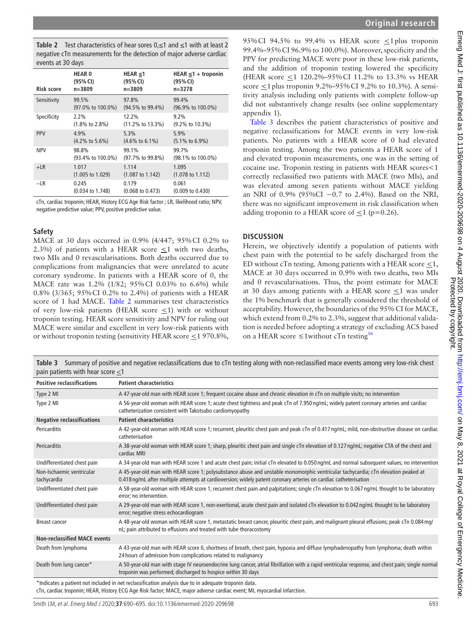<span id="page-3-0"></span>

| <b>Risk score</b> | <b>HEAR 0</b>                  | $HEAR \leq 1$                 | $HEAR \leq 1 + troponin$     |
|-------------------|--------------------------------|-------------------------------|------------------------------|
|                   | (95% CI)                       | (95% CI)                      | (95% CI)                     |
|                   | n=3809                         | $n = 3809$                    | $n = 3278$                   |
| Sensitivity       | 99.5%                          | 97.8%                         | 99.4%                        |
|                   | $(97.0\% \text{ to } 100.0\%)$ | (94.5% to 99.4%)              | (96.9% to 100.0%)            |
| Specificity       | $2.2\%$                        | 12.2%                         | $9.2\%$                      |
|                   | $(1.8\% \text{ to } 2.8\%)$    | $(11.2\% \text{ to } 13.3\%)$ | $(9.2\% \text{ to } 10.3\%)$ |
| <b>PPV</b>        | 4.9%                           | $5.3\%$                       | $5.9\%$                      |
|                   | $(4.2\% \text{ to } 5.6\%)$    | $(4.6\% \text{ to } 6.1\%)$   | $(5.1\% \text{ to } 6.9\%)$  |
| <b>NPV</b>        | 98.8%                          | 99.1%                         | 99.7%                        |
|                   | $(93.4\% \text{ to } 100.0\%)$ | (97.7% to 99.8%)              | (98.1% to 100.0%)            |
| $+LR$             | 1.017                          | 1.114                         | 1.095                        |
|                   | $(1.005 \text{ to } 1.029)$    | $(1.087 \text{ to } 1.142)$   | $(1.078 \text{ to } 1.112)$  |
| $-LR$             | 0.245                          | 0.179                         | 0.061                        |
|                   | $(0.034 \text{ to } 1.748)$    | $(0.068 \text{ to } 0.473)$   | $(0.009 \text{ to } 0.430)$  |

cTn, cardiac troponin; HEAR, History ECG Age Risk factor ; LR, likelihood ratio; NPV, negative predictive value; PPV, positive predictive value.

#### **Safety**

MACE at 30 days occurred in 0.9% (4/447; 95%CI 0.2% to 2.3%) of patients with a HEAR score  $\leq$  1 with two deaths, two MIs and 0 revascularisations. Both deaths occurred due to complications from malignancies that were unrelated to acute coronary syndrome. In patients with a HEAR score of 0, the MACE rate was 1.2% (1/82; 95%CI 0.03% to 6.6%) while 0.8% (3/365; 95%CI 0.2% to 2.4%) of patients with a HEAR score of 1 had MACE. [Table](#page-3-0) 2 summarises test characteristics of very low-risk patients (HEAR score <1) with or without troponin testing. HEAR score sensitivity and NPV for ruling out MACE were similar and excellent in very low-risk patients with or without troponin testing (sensitivity HEAR score  $\leq$  1970.8%,

95% CI 94.5% to 99.4% vs HEAR score  $\leq 1$  plus troponin 99.4%–95%CI 96.9% to 100.0%). Moreover, specificity and the PPV for predicting MACE were poor in these low-risk patients, and the addition of troponin testing lowered the specificity (HEAR score <1 120.2%–95%CI 11.2% to 13.3% vs HEAR score  $\langle 1 \rangle$  plus troponin 9.2%–95% CI 9.2% to 10.3%). A sensitivity analysis including only patients with complete follow-up did not substantively change results (see [online supplementary](https://dx.doi.org/10.1136/emermed-2020-209698) [appendix 1](https://dx.doi.org/10.1136/emermed-2020-209698)).

[Table](#page-3-1) 3 describes the patient characteristics of positive and negative reclassifications for MACE events in very low-risk patients. No patients with a HEAR score of 0 had elevated troponin testing. Among the two patients a HEAR score of 1 and elevated troponin measurements, one was in the setting of cocaine use. Troponin testing in patients with HEAR scores<1 correctly reclassified two patients with MACE (two MIs), and was elevated among seven patients without MACE yielding an NRI of 0.9% (95%CI −0.7 to 2.4%). Based on the NRI, there was no significant improvement in risk classification when adding troponin to a HEAR score of  $\leq$ 1 (p=0.26).

#### **DISCUSSION**

Herein, we objectively identify a population of patients with chest pain with the potential to be safely discharged from the ED without cTn testing. Among patients with a HEAR score  $\leq 1$ , MACE at 30 days occurred in 0.9% with two deaths, two MIs and 0 revascularisations. Thus, the point estimate for MACE at 30 days among patients with a HEAR score <1 was under the 1% benchmark that is generally considered the threshold of acceptability. However, the boundaries of the 95% CI for MACE, which extend from 0.2% to 2.3%, suggest that additional validation is needed before adopting a strategy of excluding ACS based on a HEAR score  $\leq$ 1without cTn testing<sup>[16](#page-5-9)</sup>

<span id="page-3-1"></span>**Table 3** Summary of positive and negative reclassifications due to cTn testing along with non-reclassified mace events among very low-risk chest pain patients with hear score <1

| <b>Positive reclassifications</b>                                                                    | <b>Patient characteristics</b>                                                                                                                                                                                                                         |  |
|------------------------------------------------------------------------------------------------------|--------------------------------------------------------------------------------------------------------------------------------------------------------------------------------------------------------------------------------------------------------|--|
| Type 2 MI                                                                                            | A 47-year-old man with HEAR score 1; frequent cocaine abuse and chronic elevation in cTn on multiple visits; no intervention                                                                                                                           |  |
| Type 2 MI                                                                                            | A 56-year-old woman with HEAR score 1; acute chest tightness and peak cTn of 7.950 ng/mL; widely patent coronary arteries and cardiac<br>catheterization consistent with Takotsubo cardiomyopathy                                                      |  |
| <b>Negative reclassifications</b>                                                                    | <b>Patient characteristics</b>                                                                                                                                                                                                                         |  |
| Pericarditis                                                                                         | A 42-year-old woman with HEAR score 1; recurrent, pleuritic chest pain and peak cTn of 0.417 ng/mL; mild, non-obstructive disease on cardiac<br>catheterisation                                                                                        |  |
| Pericarditis                                                                                         | A 38-year-old woman with HEAR score 1; sharp, pleuritic chest pain and single cTn elevation of 0.127 ng/mL; negative CTA of the chest and<br>cardiac MRI                                                                                               |  |
| Undifferentiated chest pain                                                                          | A 34-year-old man with HEAR score 1 and acute chest pain; initial cTn elevated to 0.050 ng/mL and normal subsequent values; no intervention                                                                                                            |  |
| Non-Ischaemic ventricular<br>tachycardia                                                             | A 45-year-old man with HEAR score 1; polysubstance abuse and unstable monomorphic ventricular tachycardia; cTn elevation peaked at<br>0.418 ng/mL after multiple attempts at cardioversion; widely patent coronary arteries on cardiac catheterisation |  |
| Undifferentiated chest pain                                                                          | A 58-year-old woman with HEAR score 1; recurrent chest pain and palpitations; single cTn elevation to 0.067 ng/mL thought to be laboratory<br>error; no intervention.                                                                                  |  |
| Undifferentiated chest pain                                                                          | A 29-year-old man with HEAR score 1, non-exertional, acute chest pain and isolated cTn elevation to 0.042 ng/mL thought to be laboratory<br>error; negative stress echocardiogram                                                                      |  |
| <b>Breast cancer</b>                                                                                 | A 48-year-old woman with HEAR score 1, metastatic breast cancer, pleuritic chest pain, and malignant pleural effusions; peak cTn 0.084 mg/<br>nL; pain attributed to effusions and treated with tube thoracostomy                                      |  |
| <b>Non-reclassified MACE events</b>                                                                  |                                                                                                                                                                                                                                                        |  |
| Death from lymphoma                                                                                  | A 43-year-old man with HEAR score 0, shortness of breath, chest pain, hypoxia and diffuse lymphadenopathy from lymphoma; death within<br>24 hours of admission from complications related to malignancy                                                |  |
| Death from lung cancer*                                                                              | A 50-year-old man with stage IV neuroendocrine lung cancer, atrial fibrillation with a rapid ventricular response, and chest pain; single normal<br>troponin was performed; discharged to hospice within 30 days                                       |  |
| *Indicates a patient not included in net reclassification analysis due to in adequate troponin data. |                                                                                                                                                                                                                                                        |  |

cTn, cardiac troponin; HEAR, History ECG Age Risk factor; MACE, major adverse cardiac event; MI, myocardial infarction.

Smith LM, et al. Emerg Med J 2020;**37**:690–695. doi:10.1136/emermed-2020-209698 693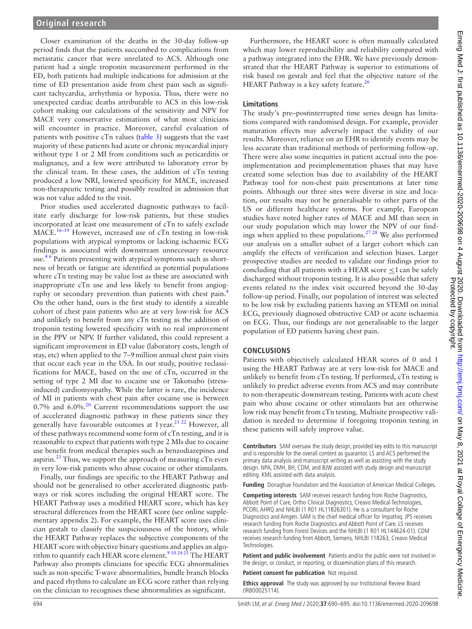Closer examination of the deaths in the 30-day follow-up period finds that the patients succumbed to complications from metastatic cancer that were unrelated to ACS. Although one patient had a single troponin measurement performed in the ED, both patients had multiple indications for admission at the time of ED presentation aside from chest pain such as significant tachycardia, arrhythmia or hypoxia. Thus, there were no unexpected cardiac deaths attributable to ACS in this low-risk cohort making our calculations of the sensitivity and NPV for MACE very conservative estimations of what most clinicians will encounter in practice. Moreover, careful evaluation of patients with positive cTn values ([table](#page-3-1) 3) suggests that the vast majority of these patients had acute or chronic myocardial injury without type 1 or 2 MI from conditions such as pericarditis or malignancy, and a few were attributed to laboratory error by the clinical team. In these cases, the addition of cTn testing produced a low NRI, lowered specificity for MACE, increased non-therapeutic testing and possibly resulted in admission that was not value added to the visit.

Prior studies used accelerated diagnostic pathways to facilitate early discharge for low-risk patients, but these studies incorporated at least one measurement of cTn to safely exclude  $MACE.<sup>16–19</sup>$  However, increased use of cTn testing in low-risk populations with atypical symptoms or lacking ischaemic ECG findings is associated with downstream unnecessary resource use.[4 6](#page-5-2) Patients presenting with atypical symptoms such as shortness of breath or fatigue are identified as potential populations where cTn testing may be value lost as these are associated with inappropriate cTn use and less likely to benefit from angiography or secondary prevention than patients with chest pain.<sup>4</sup> On the other hand, ours is the first study to identify a sizeable cohort of chest pain patients who are at very low-risk for ACS and unlikely to benefit from any cTn testing as the addition of troponin testing lowered specificity with no real improvement in the PPV or NPV. If further validated, this could represent a significant improvement in ED value (laboratory costs, length of stay, etc) when applied to the 7–9million annual chest pain visits that occur each year in the USA. In our study, positive reclassifications for MACE, based on the use of cTn, occurred in the setting of type 2 MI due to cocaine use or Takotsubo (stressinduced) cardiomyopathy. While the latter is rare, the incidence of MI in patients with chest pain after cocaine use is between 0.7% and 6.0%.[20](#page-5-10) Current recommendations support the use of accelerated diagnostic pathway in these patients since they generally have favourable outcomes at 1 year.<sup>[21 22](#page-5-11)</sup> However, all of these pathways recommend some form of cTn testing, and it is reasonable to expect that patients with type 2 MIs due to cocaine use benefit from medical therapies such as benzodiazepines and aspirin. $^{23}$  $^{23}$  $^{23}$  Thus, we support the approach of measuring cTn even in very low-risk patients who abuse cocaine or other stimulants.

Finally, our findings are specific to the HEART Pathway and should not be generalised to other accelerated diagnostic pathways or risk scores including the original HEART score. The HEART Pathway uses a modified HEART score, which has key structural differences from the HEART score (see [online supple](https://dx.doi.org/10.1136/emermed-2020-209698)[mentary appendix 2](https://dx.doi.org/10.1136/emermed-2020-209698)). For example, the HEART score uses clinician gestalt to classify the suspiciousness of the history, while the HEART Pathway replaces the subjective components of the HEART score with objective binary questions and applies an algorithm to quantify each HEAR score element.<sup>9 10 24 25</sup> The HEART Pathway also prompts clinicians for specific ECG abnormalities such as non-specific T-wave abnormalities, bundle branch blocks and paced rhythms to calculate an ECG score rather than relying on the clinician to recognises these abnormalities as significant.

Furthermore, the HEART score is often manually calculated which may lower reproducibility and reliability compared with a pathway integrated into the EHR. We have previously demonstrated that the HEART Pathway is superior to estimations of risk based on gestalt and feel that the objective nature of the HEART Pathway is a key safety feature.<sup>[26](#page-5-13)</sup>

#### **Limitations**

The study's pre–postinterrupted time series design has limitations compared with randomised design. For example, provider maturation effects may adversely impact the validity of our results. Moreover, reliance on an EHR to identify events may be less accurate than traditional methods of performing follow-up. There were also some inequities in patient accrual into the posimplementation and preimplementation phases that may have created some selection bias due to availability of the HEART Pathway tool for non-chest pain presentations at later time points. Although our three sites were diverse in size and location, our results may not be generalisable to other parts of the US or different healthcare systems. For example, European studies have noted higher rates of MACE and MI than seen in our study population which may lower the NPV of our findings when applied to these populations.[27 28](#page-5-14) We also performed our analysis on a smaller subset of a larger cohort which can amplify the effects of verification and selection biases. Larger prospective studies are needed to validate our findings prior to concluding that all patients with a HEAR score <1can be safely discharged without troponin testing. It is also possible that safety events related to the index visit occurred beyond the 30-day follow-up period. Finally, our population of interest was selected to be low risk by excluding patients having an STEMI on initial ECG, previously diagnosed obstructive CAD or acute ischaemia on ECG. Thus, our findings are not generalisable to the larger population of ED patients having chest pain.

#### **CONCLUSIONS**

Patients with objectively calculated HEAR scores of 0 and 1 using the HEART Pathway are at very low-risk for MACE and unlikely to benefit from cTn testing. If performed, cTn testing is unlikely to predict adverse events from ACS and may contribute to non-therapeutic downstream testing. Patients with acute chest pain who abuse cocaine or other stimulants but are otherwise low risk may benefit from cTn testing. Multisite prospective validation is needed to determine if foregoing troponin testing in these patients will safely improve value.

**Contributors** SAM oversaw the study design, provided key edits to this manuscript and is responsible for the overall content as guarantor. LS and ACS performed the primary data analysis and manuscript writing as well as assisting with the study design. NPA, DMH, BH, CDM, and BJW assisted with study design and manuscript editing. KML assisted with data analysis.

**Funding** Donaghue Foundation and the Association of American Medical Colleges.

**Competing interests** SAM receives research funding from Roche Diagnostics, Abbott Point of Care, Ortho Clinical Diagnostics, Creavo Medical Technologies, PCORI, AHRQ and NHLBI (1 R01 HL11826301). He is a consultant for Roche Diagnostics and Amgen. SAM is the chief medical officer for Impathiq. JPS receives research funding from Roche Diagnostics and Abbott Point of Care. LS receives research funding from Forest Devices and the NHLBI (1 R01 HL144624-01). CDM receives research funding from Abbott, Siemens, NHLBI 118263, Creavo Medical Technologies.

**Patient and public involvement** Patients and/or the public were not involved in the design, or conduct, or reporting, or dissemination plans of this research.

**Patient consent for publication** Not required.

**Ethics approval** The study was approved by our Institutional Review Board (IRB00025114).